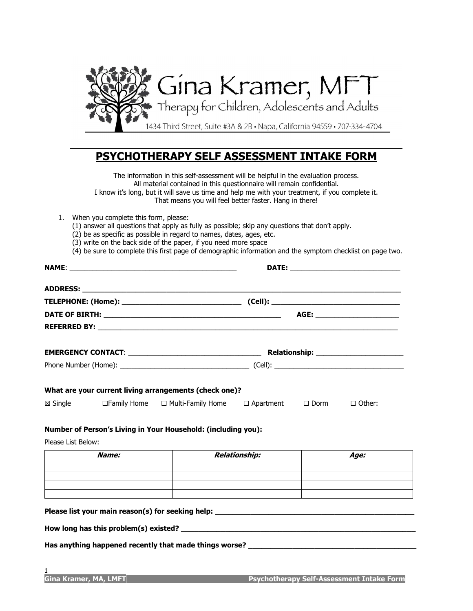

# **PSYCHOTHERAPY SELF ASSESSMENT INTAKE FORM**

The information in this self-assessment will be helpful in the evaluation process. All material contained in this questionnaire will remain confidential. I know it's long, but it will save us time and help me with your treatment, if you complete it. That means you will feel better faster. Hang in there!

- 1. When you complete this form, please:
	- (1) answer all questions that apply as fully as possible; skip any questions that don't apply.
	- (2) be as specific as possible in regard to names, dates, ages, etc.
	- (3) write on the back side of the paper, if you need more space
	- (4) be sure to complete this first page of demographic information and the symptom checklist on page two.

|                                                                              |       |                                                                                                                                                              |                      | AGE: _________________________ |               |
|------------------------------------------------------------------------------|-------|--------------------------------------------------------------------------------------------------------------------------------------------------------------|----------------------|--------------------------------|---------------|
|                                                                              |       |                                                                                                                                                              |                      |                                |               |
|                                                                              |       |                                                                                                                                                              |                      |                                |               |
|                                                                              |       |                                                                                                                                                              |                      |                                |               |
|                                                                              |       |                                                                                                                                                              |                      |                                |               |
|                                                                              |       | $\boxtimes$ Single $\Box$ Family Home $\Box$ Multi-Family Home $\Box$ Apartment $\Box$ Dorm<br>Number of Person's Living in Your Household: (including you): |                      |                                | $\Box$ Other: |
|                                                                              |       |                                                                                                                                                              |                      |                                |               |
|                                                                              | Name: |                                                                                                                                                              | <b>Relationship:</b> |                                | Age:          |
|                                                                              |       |                                                                                                                                                              |                      |                                |               |
| What are your current living arrangements (check one)?<br>Please List Below: |       | ,我们也不会有什么。""我们,我们也不会有什么?""我们,我们也不会有什么?""我们,我们也不会有什么?""我们,我们也不会有什么?""我们,我们也不会有什么?                                                                             |                      |                                |               |

Has anything happened recently that made things worse?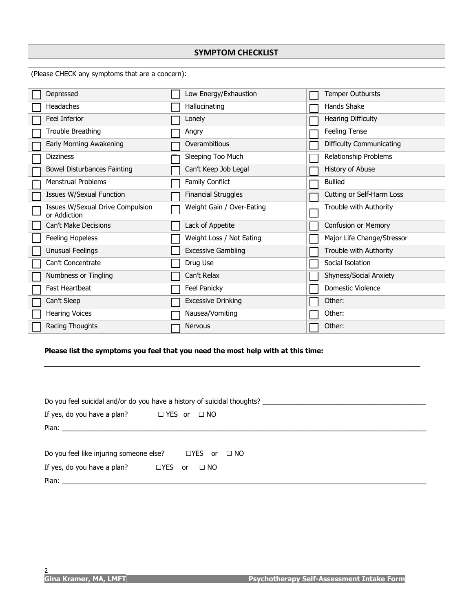#### **SYMPTOM CHECKLIST**

(Please CHECK any symptoms that are a concern):

| Depressed                                        | Low Energy/Exhaustion      | <b>Temper Outbursts</b>         |
|--------------------------------------------------|----------------------------|---------------------------------|
| Headaches                                        | Hallucinating              | <b>Hands Shake</b>              |
| <b>Feel Inferior</b>                             | Lonely                     | Hearing Difficulty              |
| Trouble Breathing                                | Angry                      | Feeling Tense                   |
| Early Morning Awakening                          | Overambitious              | <b>Difficulty Communicating</b> |
| <b>Dizziness</b>                                 | Sleeping Too Much          | Relationship Problems           |
| Bowel Disturbances Fainting                      | Can't Keep Job Legal       | History of Abuse                |
| <b>Menstrual Problems</b>                        | <b>Family Conflict</b>     | <b>Bullied</b>                  |
| <b>Issues W/Sexual Function</b>                  | <b>Financial Struggles</b> | Cutting or Self-Harm Loss       |
| Issues W/Sexual Drive Compulsion<br>or Addiction | Weight Gain / Over-Eating  | Trouble with Authority          |
| Can't Make Decisions                             | Lack of Appetite           | Confusion or Memory             |
| Feeling Hopeless                                 | Weight Loss / Not Eating   | Major Life Change/Stressor      |
| Unusual Feelings                                 | <b>Excessive Gambling</b>  | Trouble with Authority          |
| Can't Concentrate                                | Drug Use                   | Social Isolation                |
| Numbness or Tingling                             | Can't Relax                | Shyness/Social Anxiety          |
| <b>Fast Heartbeat</b>                            | Feel Panicky               | Domestic Violence               |
| Can't Sleep                                      | <b>Excessive Drinking</b>  | Other:                          |
| <b>Hearing Voices</b>                            | Nausea/Vomiting            | Other:                          |
| Racing Thoughts                                  | <b>Nervous</b>             | Other:                          |

#### **Please list the symptoms you feel that you need the most help with at this time:**

| Do you feel suicidal and/or do you have a history of suicidal thoughts? |                 |  |  |  |  |
|-------------------------------------------------------------------------|-----------------|--|--|--|--|
| If yes, do you have a plan? $\square$ YES or                            | $\Box$ NO       |  |  |  |  |
|                                                                         |                 |  |  |  |  |
|                                                                         |                 |  |  |  |  |
| Do you feel like injuring someone else? $\Box$ YES or $\Box$ NO         |                 |  |  |  |  |
| If yes, do you have a plan? $\Box$ YES                                  | $\Box$ NO<br>or |  |  |  |  |
| Plan:                                                                   |                 |  |  |  |  |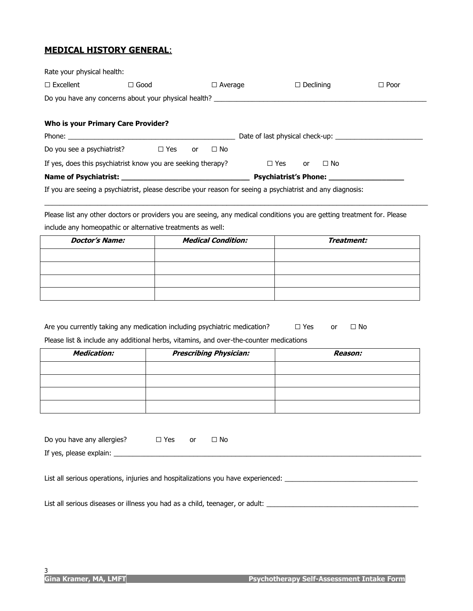## **MEDICAL HISTORY GENERAL**:

| Rate your physical health:                                                                                 |             |                 |                         |                              |
|------------------------------------------------------------------------------------------------------------|-------------|-----------------|-------------------------|------------------------------|
| $\Box$ Excellent                                                                                           | $\Box$ Good | $\Box$ Average  | $\Box$ Declining        | $\Box$ Poor                  |
| Do you have any concerns about your physical health? ___________________________                           |             |                 |                         |                              |
|                                                                                                            |             |                 |                         |                              |
| <b>Who is your Primary Care Provider?</b>                                                                  |             |                 |                         |                              |
|                                                                                                            |             |                 |                         |                              |
| Do you see a psychiatrist? $\Box$ Yes                                                                      |             | $\Box$ No<br>or |                         |                              |
| If yes, does this psychiatrist know you are seeking therapy?                                               |             |                 | $\Box$ Yes or $\Box$ No |                              |
|                                                                                                            |             |                 |                         | <b>Psychiatrist's Phone:</b> |
| If you are seeing a psychiatrist, please describe your reason for seeing a psychiatrist and any diagnosis: |             |                 |                         |                              |

Please list any other doctors or providers you are seeing, any medical conditions you are getting treatment for. Please include any homeopathic or alternative treatments as well:

\_\_\_\_\_\_\_\_\_\_\_\_\_\_\_\_\_\_\_\_\_\_\_\_\_\_\_\_\_\_\_\_\_\_\_\_\_\_\_\_\_\_\_\_\_\_\_\_\_\_\_\_\_\_\_\_\_\_\_\_\_\_\_\_\_\_\_\_\_\_\_\_\_\_\_\_\_\_\_\_\_\_\_\_\_\_\_\_\_\_\_\_\_\_\_\_\_\_\_\_\_

| <b>Doctor's Name:</b> | <b>Medical Condition:</b> | Treatment: |
|-----------------------|---------------------------|------------|
|                       |                           |            |
|                       |                           |            |
|                       |                           |            |
|                       |                           |            |

| Are you currently taking any medication including psychiatric medication?              |  | $\Box$ Yes | nr | $\Box$ No |
|----------------------------------------------------------------------------------------|--|------------|----|-----------|
| Please list & include any additional herbs, vitamins, and over-the-counter medications |  |            |    |           |

| . .                |                               |         |  |  |  |
|--------------------|-------------------------------|---------|--|--|--|
| <b>Medication:</b> | <b>Prescribing Physician:</b> | Reason: |  |  |  |
|                    |                               |         |  |  |  |
|                    |                               |         |  |  |  |
|                    |                               |         |  |  |  |
|                    |                               |         |  |  |  |

| Do you have any allergies?                                                       | $\Box$ Yes | <b>or</b> | $\Box$ No |  |  |
|----------------------------------------------------------------------------------|------------|-----------|-----------|--|--|
|                                                                                  |            |           |           |  |  |
|                                                                                  |            |           |           |  |  |
| List all serious operations, injuries and hospitalizations you have experienced: |            |           |           |  |  |

List all serious diseases or illness you had as a child, teenager, or adult: \_\_\_\_\_\_\_\_\_\_\_\_\_\_\_\_\_\_\_\_\_\_\_\_\_\_\_\_\_\_\_\_\_\_\_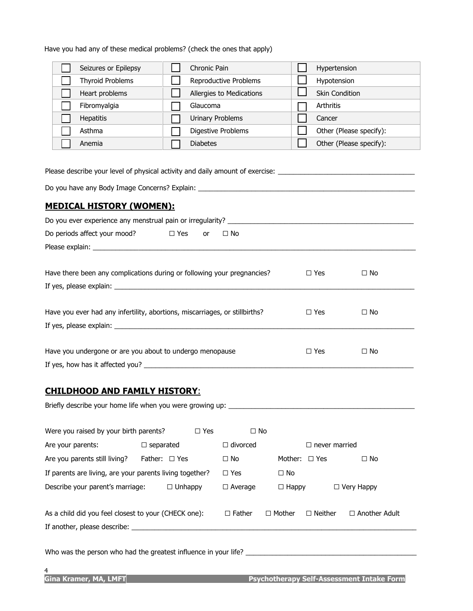Have you had any of these medical problems? (check the ones that apply)

| Seizures or Epilepsy                                                                                                                                                                     | Chronic Pain                            | Hypertension<br>$\blacksquare$ |                         |  |  |  |
|------------------------------------------------------------------------------------------------------------------------------------------------------------------------------------------|-----------------------------------------|--------------------------------|-------------------------|--|--|--|
| <b>Thyroid Problems</b>                                                                                                                                                                  | Reproductive Problems                   | Hypotension                    |                         |  |  |  |
| Heart problems                                                                                                                                                                           | Allergies to Medications                | <b>Skin Condition</b>          |                         |  |  |  |
| Fibromyalgia                                                                                                                                                                             | Glaucoma                                | Arthritis                      |                         |  |  |  |
| <b>Hepatitis</b>                                                                                                                                                                         | <b>Urinary Problems</b>                 | Cancer                         |                         |  |  |  |
| Asthma                                                                                                                                                                                   | Digestive Problems                      |                                | Other (Please specify): |  |  |  |
| Anemia                                                                                                                                                                                   | <b>Diabetes</b>                         |                                | Other (Please specify): |  |  |  |
| Please describe your level of physical activity and daily amount of exercise: ______________________<br>Do you have any Body Image Concerns? Explain: __________________________________ |                                         |                                |                         |  |  |  |
|                                                                                                                                                                                          |                                         |                                |                         |  |  |  |
| <b>MEDICAL HISTORY (WOMEN):</b>                                                                                                                                                          |                                         |                                |                         |  |  |  |
|                                                                                                                                                                                          |                                         |                                |                         |  |  |  |
| Do periods affect your mood?                                                                                                                                                             | $\square$ Yes<br>$\Box$ No<br><b>or</b> |                                |                         |  |  |  |
|                                                                                                                                                                                          |                                         |                                |                         |  |  |  |
|                                                                                                                                                                                          |                                         |                                |                         |  |  |  |
| Have there been any complications during or following your pregnancies?                                                                                                                  |                                         | $\Box$ Yes                     | $\Box$ No               |  |  |  |
|                                                                                                                                                                                          |                                         |                                |                         |  |  |  |
|                                                                                                                                                                                          |                                         |                                |                         |  |  |  |
| Have you ever had any infertility, abortions, miscarriages, or stillbirths?<br>$\Box$ No<br>$\Box$ Yes                                                                                   |                                         |                                |                         |  |  |  |
|                                                                                                                                                                                          |                                         |                                |                         |  |  |  |
|                                                                                                                                                                                          |                                         |                                |                         |  |  |  |
| Have you undergone or are you about to undergo menopause                                                                                                                                 |                                         | $\Box$ Yes                     | $\Box$ No               |  |  |  |
| If yes, how has it affected you?                                                                                                                                                         |                                         |                                |                         |  |  |  |

## **CHILDHOOD AND FAMILY HISTORY**:

| Briefly describe your home life when you were growing up:                            |                  |            |                 |               |                      |                      |
|--------------------------------------------------------------------------------------|------------------|------------|-----------------|---------------|----------------------|----------------------|
| Were you raised by your birth parents?                                               |                  | $\Box$ Yes | $\Box$ No       |               |                      |                      |
| Are your parents:                                                                    | $\Box$ separated |            | $\Box$ divorced |               | $\Box$ never married |                      |
| Are you parents still living?                                                        | Father: □ Yes    |            | $\Box$ No       |               | Mother: $\Box$ Yes   | $\Box$ No            |
| If parents are living, are your parents living together?                             |                  |            | $\Box$ Yes      | $\Box$ No     |                      |                      |
| Describe your parent's marriage:                                                     | $\Box$ Unhappy   |            | $\Box$ Average  | $\Box$ Happy  |                      | $\Box$ Very Happy    |
| As a child did you feel closest to your (CHECK one):<br>If another, please describe: |                  |            | $\Box$ Father   | $\Box$ Mother | $\Box$ Neither       | $\Box$ Another Adult |
|                                                                                      |                  |            |                 |               |                      |                      |

Who was the person who had the greatest influence in your life? \_\_\_\_\_\_\_\_\_\_\_\_\_\_\_\_\_\_\_\_\_\_\_\_\_\_\_\_\_\_\_\_\_\_\_\_\_\_\_\_\_\_\_\_\_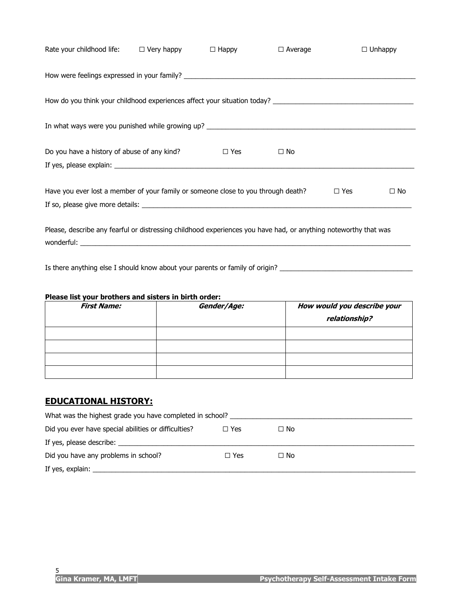| Rate your childhood life: $\square$ Very happy $\square$ Happy                                                                |            | $\Box$ Average |            | $\Box$ Unhappy |
|-------------------------------------------------------------------------------------------------------------------------------|------------|----------------|------------|----------------|
|                                                                                                                               |            |                |            |                |
|                                                                                                                               |            |                |            |                |
| In what ways were you punished while growing up? ________________________________                                             |            |                |            |                |
| Do you have a history of abuse of any kind?                                                                                   | $\Box$ Yes | $\Box$ No      |            |                |
| Have you ever lost a member of your family or someone close to you through death?                                             |            |                | $\Box$ Yes | $\Box$ No      |
| Please, describe any fearful or distressing childhood experiences you have had, or anything noteworthy that was<br>wonderful: |            |                |            |                |

Is there anything else I should know about your parents or family of origin? \_\_\_\_\_\_\_\_\_\_\_\_\_\_\_\_\_\_\_\_\_\_\_\_\_\_\_\_\_\_\_\_\_

#### **Please list your brothers and sisters in birth order:**

| <b>First Name:</b> | Gender/Age: | How would you describe your<br>relationship? |
|--------------------|-------------|----------------------------------------------|
|                    |             |                                              |
|                    |             |                                              |
|                    |             |                                              |
|                    |             |                                              |

## **EDUCATIONAL HISTORY:**

| What was the highest grade you have completed in school? |            |           |  |  |  |
|----------------------------------------------------------|------------|-----------|--|--|--|
| Did you ever have special abilities or difficulties?     | $\Box$ Yes | $\Box$ No |  |  |  |
|                                                          |            |           |  |  |  |
| Did you have any problems in school?                     | $\Box$ Yes | $\Box$ No |  |  |  |
| If yes, explain: $\frac{1}{2}$                           |            |           |  |  |  |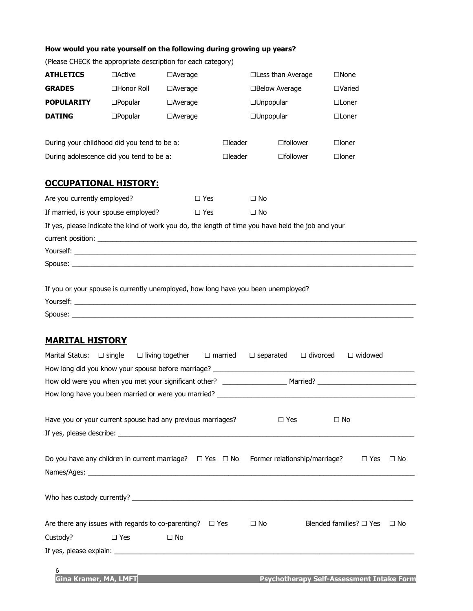#### **How would you rate yourself on the following during growing up years?**

| <b>ATHLETICS</b>                                                                                   | $\Box$ Active     | $\Box$ Average                     |                  | $\Box$ Less than Average |                    | $\square$ None  |
|----------------------------------------------------------------------------------------------------|-------------------|------------------------------------|------------------|--------------------------|--------------------|-----------------|
| <b>GRADES</b>                                                                                      | □Honor Roll       | $\Box$ Average                     |                  | $\Box$ Below Average     |                    | $\Box$ Varied   |
| <b>POPULARITY</b>                                                                                  | $\square$ Popular | $\Box$ Unpopular<br>$\Box$ Average |                  |                          |                    | $\Box$ Loner    |
| <b>DATING</b>                                                                                      | $\square$ Popular | $\Box$ Average                     |                  | $\Box$ Unpopular         |                    | $\Box$ Loner    |
| During your childhood did you tend to be a:                                                        |                   |                                    | $\square$ leader |                          | $\square$ follower | $\square$ loner |
| During adolescence did you tend to be a:                                                           |                   |                                    | $\Box$ leader    |                          | □follower          | $\square$ loner |
| <b>OCCUPATIONAL HISTORY:</b>                                                                       |                   |                                    |                  |                          |                    |                 |
| Are you currently employed?<br>$\Box$ Yes                                                          |                   |                                    |                  | $\Box$ No                |                    |                 |
| If married, is your spouse employed?<br>$\Box$ Yes                                                 |                   |                                    | $\Box$ No        |                          |                    |                 |
| If yes, please indicate the kind of work you do, the length of time you have held the job and your |                   |                                    |                  |                          |                    |                 |
|                                                                                                    |                   |                                    |                  |                          |                    |                 |
|                                                                                                    |                   |                                    |                  |                          |                    |                 |
| If you or your spouse is currently unemployed, how long have you been unemployed?                  |                   |                                    |                  |                          |                    |                 |
| Yourself:                                                                                          |                   |                                    |                  |                          |                    |                 |

(Please CHECK the appropriate description for each category)

Spouse: \_\_\_\_\_\_\_\_\_\_\_\_\_\_\_\_\_\_\_\_\_\_\_\_\_\_\_\_\_\_\_\_\_\_\_\_\_\_\_\_\_\_\_\_\_\_\_\_\_\_\_\_\_\_\_\_\_\_\_\_\_\_\_\_\_\_\_\_\_\_\_\_\_\_\_\_\_\_\_\_\_\_\_\_\_\_\_\_\_\_

|                                                                  |                                                                                        | Marital Status: $\square$ single $\square$ living together $\square$ married $\square$ separated $\square$ divorced |  |           |  | $\Box$ widowed               |           |  |
|------------------------------------------------------------------|----------------------------------------------------------------------------------------|---------------------------------------------------------------------------------------------------------------------|--|-----------|--|------------------------------|-----------|--|
|                                                                  |                                                                                        |                                                                                                                     |  |           |  |                              |           |  |
|                                                                  |                                                                                        |                                                                                                                     |  |           |  |                              |           |  |
|                                                                  |                                                                                        |                                                                                                                     |  |           |  |                              |           |  |
|                                                                  |                                                                                        |                                                                                                                     |  |           |  |                              |           |  |
|                                                                  | Have you or your current spouse had any previous marriages?<br>$\Box$ No<br>$\Box$ Yes |                                                                                                                     |  |           |  |                              |           |  |
|                                                                  |                                                                                        |                                                                                                                     |  |           |  |                              |           |  |
|                                                                  |                                                                                        |                                                                                                                     |  |           |  |                              |           |  |
|                                                                  |                                                                                        | Do you have any children in current marriage? $\square$ Yes $\square$ No Former relationship/marriage?              |  |           |  | $\Box$ Yes                   | $\Box$ No |  |
|                                                                  |                                                                                        |                                                                                                                     |  |           |  |                              |           |  |
|                                                                  |                                                                                        |                                                                                                                     |  |           |  |                              |           |  |
|                                                                  |                                                                                        |                                                                                                                     |  |           |  |                              |           |  |
|                                                                  |                                                                                        |                                                                                                                     |  |           |  |                              |           |  |
| Are there any issues with regards to co-parenting? $\square$ Yes |                                                                                        |                                                                                                                     |  | $\Box$ No |  | Blended families? $\Box$ Yes | $\Box$ No |  |
| Custody? □ Yes                                                   |                                                                                        | $\Box$ No                                                                                                           |  |           |  |                              |           |  |
|                                                                  |                                                                                        |                                                                                                                     |  |           |  |                              |           |  |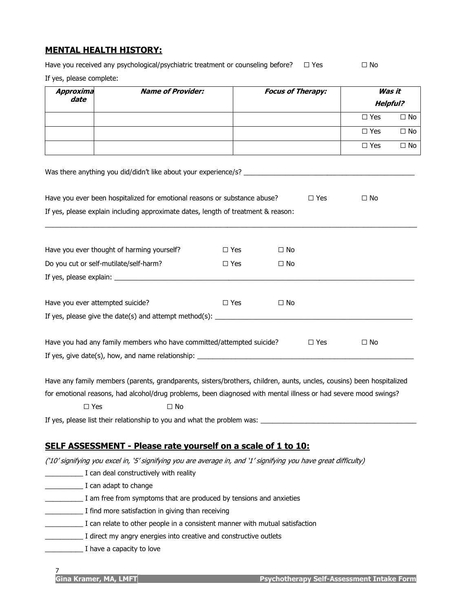# **MENTAL HEALTH HISTORY:**

Have you received any psychological/psychiatric treatment or counseling before?  $\Box$  Yes  $\Box$  No

If yes, please complete:

| Approxima<br>date                | <b>Name of Provider:</b>                                                                                                          |            | <b>Focus of Therapy:</b> | Was it          |              |
|----------------------------------|-----------------------------------------------------------------------------------------------------------------------------------|------------|--------------------------|-----------------|--------------|
|                                  |                                                                                                                                   |            |                          | <b>Helpful?</b> |              |
|                                  |                                                                                                                                   |            |                          | $\square$ Yes   | $\Box$ No    |
|                                  |                                                                                                                                   |            |                          | $\square$ Yes   | $\square$ No |
|                                  |                                                                                                                                   |            |                          | $\square$ Yes   | $\Box$ No    |
|                                  |                                                                                                                                   |            |                          |                 |              |
|                                  | Have you ever been hospitalized for emotional reasons or substance abuse?                                                         |            | $\Box$ Yes               | $\Box$ No       |              |
|                                  | If yes, please explain including approximate dates, length of treatment & reason:                                                 |            |                          |                 |              |
|                                  | Have you ever thought of harming yourself?                                                                                        | $\Box$ Yes | $\Box$ No                |                 |              |
|                                  | Do you cut or self-mutilate/self-harm?                                                                                            | $\Box$ Yes | $\Box$ No                |                 |              |
|                                  |                                                                                                                                   |            |                          |                 |              |
| Have you ever attempted suicide? |                                                                                                                                   | $\Box$ Yes | $\Box$ No                |                 |              |
|                                  |                                                                                                                                   |            |                          |                 |              |
|                                  | Have you had any family members who have committed/attempted suicide?                                                             |            | $\Box$ Yes               | $\Box$ No       |              |
|                                  | If yes, give date(s), how, and name relationship: _______________________________                                                 |            |                          |                 |              |
|                                  | Have any family members (parents, grandparents, sisters/brothers, children, aunts, uncles, cousins) been hospitalized             |            |                          |                 |              |
|                                  | for emotional reasons, had alcohol/drug problems, been diagnosed with mental illness or had severe mood swings?                   |            |                          |                 |              |
| $\square$ Yes                    | $\square$ No                                                                                                                      |            |                          |                 |              |
|                                  | If yes, please list their relationship to you and what the problem was: ____________________________                              |            |                          |                 |              |
|                                  |                                                                                                                                   |            |                          |                 |              |
|                                  | SELF ASSESSMENT - Please rate yourself on a scale of 1 to 10:                                                                     |            |                          |                 |              |
|                                  | ('10' signifying you excel in, '5' signifying you are average in, and '1' signifying you have great difficulty)                   |            |                          |                 |              |
|                                  | I can deal constructively with reality                                                                                            |            |                          |                 |              |
|                                  | I can adapt to change                                                                                                             |            |                          |                 |              |
|                                  | I am free from symptoms that are produced by tensions and anxieties                                                               |            |                          |                 |              |
|                                  | I find more satisfaction in giving than receiving<br>I can relate to other people in a consistent manner with mutual satisfaction |            |                          |                 |              |
|                                  | I direct my angry energies into creative and constructive outlets                                                                 |            |                          |                 |              |
|                                  | I have a capacity to love                                                                                                         |            |                          |                 |              |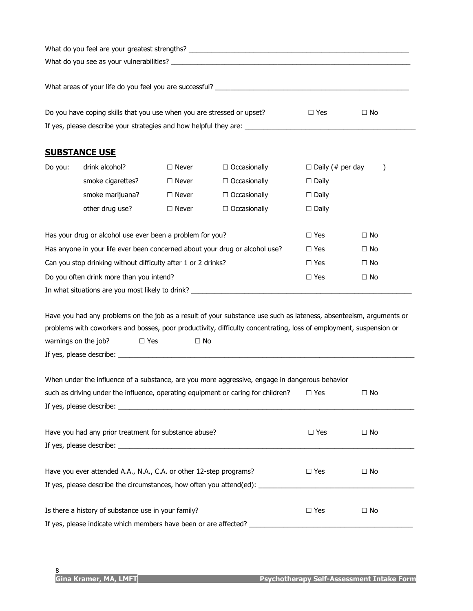|                                                                                                             | Do you have coping skills that you use when you are stressed or upset?                                                                   |               |                                                                                                                    | $\Box$ Yes              | $\Box$ No     |
|-------------------------------------------------------------------------------------------------------------|------------------------------------------------------------------------------------------------------------------------------------------|---------------|--------------------------------------------------------------------------------------------------------------------|-------------------------|---------------|
|                                                                                                             |                                                                                                                                          |               |                                                                                                                    |                         |               |
|                                                                                                             |                                                                                                                                          |               |                                                                                                                    |                         |               |
|                                                                                                             | <b>SUBSTANCE USE</b>                                                                                                                     |               |                                                                                                                    |                         |               |
| Do you:                                                                                                     | drink alcohol?                                                                                                                           | $\Box$ Never  | $\Box$ Occasionally                                                                                                | $\Box$ Daily (# per day | $\mathcal{Y}$ |
|                                                                                                             | smoke cigarettes?                                                                                                                        | $\Box$ Never  | $\Box$ Occasionally                                                                                                | $\Box$ Daily            |               |
|                                                                                                             | smoke marijuana?                                                                                                                         | $\Box$ Never  | $\Box$ Occasionally                                                                                                | $\Box$ Daily            |               |
|                                                                                                             | other drug use?                                                                                                                          | $\Box$ Never  | $\Box$ Occasionally                                                                                                | $\Box$ Daily            |               |
|                                                                                                             |                                                                                                                                          |               |                                                                                                                    | $\Box$ Yes              | $\Box$ No     |
|                                                                                                             | Has your drug or alcohol use ever been a problem for you?<br>Has anyone in your life ever been concerned about your drug or alcohol use? |               |                                                                                                                    | $\Box$ Yes              | $\Box$ No     |
|                                                                                                             |                                                                                                                                          |               |                                                                                                                    |                         |               |
|                                                                                                             | Can you stop drinking without difficulty after 1 or 2 drinks?                                                                            |               |                                                                                                                    | $\Box$ Yes              | $\Box$ No     |
|                                                                                                             | Do you often drink more than you intend?                                                                                                 |               |                                                                                                                    | $\Box$ Yes              | $\Box$ No     |
|                                                                                                             |                                                                                                                                          |               | In what situations are you most likely to drink? _______________________________                                   |                         |               |
|                                                                                                             |                                                                                                                                          |               | Have you had any problems on the job as a result of your substance use such as lateness, absenteeism, arguments or |                         |               |
|                                                                                                             |                                                                                                                                          |               | problems with coworkers and bosses, poor productivity, difficulty concentrating, loss of employment, suspension or |                         |               |
|                                                                                                             | warnings on the job?<br>$\Box$ Yes                                                                                                       | $\Box$ No     |                                                                                                                    |                         |               |
|                                                                                                             |                                                                                                                                          |               |                                                                                                                    |                         |               |
|                                                                                                             |                                                                                                                                          |               |                                                                                                                    |                         |               |
|                                                                                                             |                                                                                                                                          |               | When under the influence of a substance, are you more aggressive, engage in dangerous behavior                     |                         |               |
| such as driving under the influence, operating equipment or caring for children?<br>$\Box$ Yes<br>$\Box$ No |                                                                                                                                          |               |                                                                                                                    |                         |               |
|                                                                                                             |                                                                                                                                          |               |                                                                                                                    |                         |               |
|                                                                                                             | Have you had any prior treatment for substance abuse?                                                                                    |               |                                                                                                                    | $\Box$ Yes              | $\Box$ No     |
|                                                                                                             |                                                                                                                                          |               |                                                                                                                    |                         |               |
|                                                                                                             |                                                                                                                                          |               |                                                                                                                    |                         |               |
|                                                                                                             | Have you ever attended A.A., N.A., C.A. or other 12-step programs?                                                                       | $\square$ Yes | $\Box$ No                                                                                                          |                         |               |
|                                                                                                             |                                                                                                                                          |               | If yes, please describe the circumstances, how often you attend(ed): _______________________________               |                         |               |
|                                                                                                             | Is there a history of substance use in your family?                                                                                      |               |                                                                                                                    | $\Box$ Yes              | $\Box$ No     |
|                                                                                                             | If yes, please indicate which members have been or are affected?                                                                         |               |                                                                                                                    |                         |               |